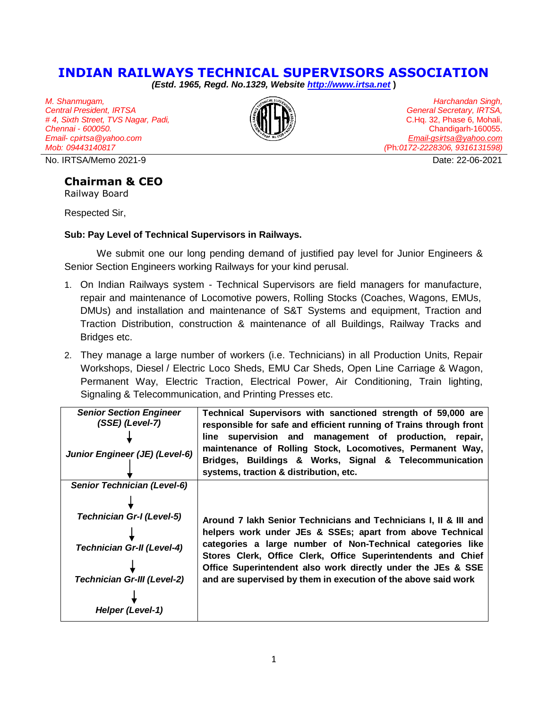## **INDIAN RAILWAYS TECHNICAL SUPERVISORS ASSOCIATION**

*(Estd. 1965, Regd. No.1329, Website [http://www.irtsa.net](http://www.irtsa.net/)* **)**

*M. Shanmugam, Central President, IRTSA # 4, Sixth Street, TVS Nagar, Padi, Chennai - 600050. Email- cpirtsa@yahoo.com Mob: 09443140817*

No. IRTSA/Memo 2021-9 Date: 22-06-2021

## **Chairman & CEO**

Railway Board

Respected Sir,

## **Sub: Pay Level of Technical Supervisors in Railways.**

We submit one our long pending demand of justified pay level for Junior Engineers & Senior Section Engineers working Railways for your kind perusal.

- 1. On Indian Railways system Technical Supervisors are field managers for manufacture, repair and maintenance of Locomotive powers, Rolling Stocks (Coaches, Wagons, EMUs, DMUs) and installation and maintenance of S&T Systems and equipment, Traction and Traction Distribution, construction & maintenance of all Buildings, Railway Tracks and Bridges etc.
- 2. They manage a large number of workers (i.e. Technicians) in all Production Units, Repair Workshops, Diesel / Electric Loco Sheds, EMU Car Sheds, Open Line Carriage & Wagon, Permanent Way, Electric Traction, Electrical Power, Air Conditioning, Train lighting, Signaling & Telecommunication, and Printing Presses etc.

| <b>Senior Section Engineer</b><br>$(SSE)$ (Level-7)<br>Junior Engineer (JE) (Level-6)                                                                                 | Technical Supervisors with sanctioned strength of 59,000 are<br>responsible for safe and efficient running of Trains through front<br>line supervision and management of production, repair,<br>maintenance of Rolling Stock, Locomotives, Permanent Way,<br>Bridges, Buildings & Works, Signal & Telecommunication<br>systems, traction & distribution, etc.                                 |
|-----------------------------------------------------------------------------------------------------------------------------------------------------------------------|-----------------------------------------------------------------------------------------------------------------------------------------------------------------------------------------------------------------------------------------------------------------------------------------------------------------------------------------------------------------------------------------------|
| <b>Senior Technician (Level-6)</b><br><b>Technician Gr-I (Level-5)</b><br><b>Technician Gr-II (Level-4)</b><br><b>Technician Gr-III (Level-2)</b><br>Helper (Level-1) | Around 7 lakh Senior Technicians and Technicians I, II & III and<br>helpers work under JEs & SSEs; apart from above Technical<br>categories a large number of Non-Technical categories like<br>Stores Clerk, Office Clerk, Office Superintendents and Chief<br>Office Superintendent also work directly under the JEs & SSE<br>and are supervised by them in execution of the above said work |



*Harchandan Singh, General Secretary, IRTSA,* C.Hq. 32, Phase 6, Mohali, Chandigarh-160055. *[Email-gsirtsa@yahoo.com](mailto:Email-gsirtsa@yahoo.com)  (*Ph*:0172-2228306, 9316131598)*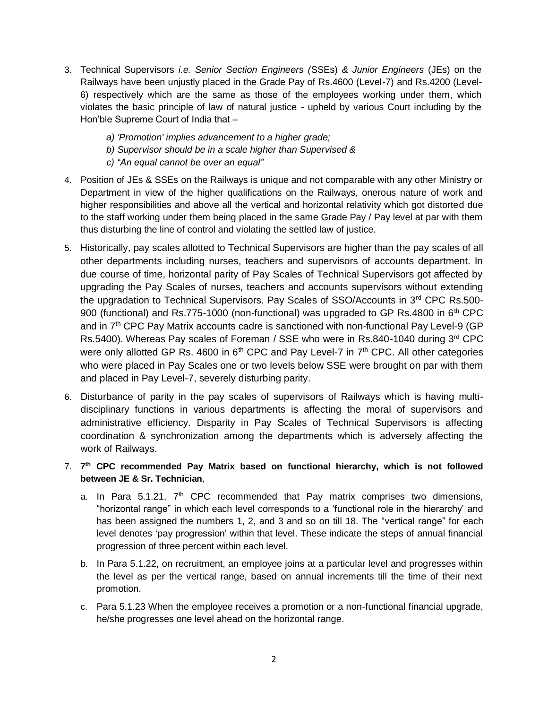- 3. Technical Supervisors *i.e. Senior Section Engineers (*SSEs) *& Junior Engineers* (JEs) on the Railways have been unjustly placed in the Grade Pay of Rs.4600 (Level-7) and Rs.4200 (Level-6) respectively which are the same as those of the employees working under them, which violates the basic principle of law of natural justice - upheld by various Court including by the Hon'ble Supreme Court of India that –
	- *a) 'Promotion' implies advancement to a higher grade;*
	- *b) Supervisor should be in a scale higher than Supervised &*
	- *c) "An equal cannot be over an equal"*
- 4. Position of JEs & SSEs on the Railways is unique and not comparable with any other Ministry or Department in view of the higher qualifications on the Railways, onerous nature of work and higher responsibilities and above all the vertical and horizontal relativity which got distorted due to the staff working under them being placed in the same Grade Pay / Pay level at par with them thus disturbing the line of control and violating the settled law of justice.
- 5. Historically, pay scales allotted to Technical Supervisors are higher than the pay scales of all other departments including nurses, teachers and supervisors of accounts department. In due course of time, horizontal parity of Pay Scales of Technical Supervisors got affected by upgrading the Pay Scales of nurses, teachers and accounts supervisors without extending the upgradation to Technical Supervisors. Pay Scales of SSO/Accounts in  $3<sup>rd</sup>$  CPC Rs.500-900 (functional) and Rs.775-1000 (non-functional) was upgraded to GP Rs.4800 in  $6<sup>th</sup>$  CPC and in  $7<sup>th</sup>$  CPC Pay Matrix accounts cadre is sanctioned with non-functional Pay Level-9 (GP Rs.5400). Whereas Pay scales of Foreman / SSE who were in Rs.840-1040 during 3rd CPC were only allotted GP Rs. 4600 in  $6<sup>th</sup>$  CPC and Pay Level-7 in  $7<sup>th</sup>$  CPC. All other categories who were placed in Pay Scales one or two levels below SSE were brought on par with them and placed in Pay Level-7, severely disturbing parity.
- 6. Disturbance of parity in the pay scales of supervisors of Railways which is having multidisciplinary functions in various departments is affecting the moral of supervisors and administrative efficiency. Disparity in Pay Scales of Technical Supervisors is affecting coordination & synchronization among the departments which is adversely affecting the work of Railways.
- 7. **7 th CPC recommended Pay Matrix based on functional hierarchy, which is not followed between JE & Sr. Technician**,
	- a. In Para 5.1.21,  $7<sup>th</sup>$  CPC recommended that Pay matrix comprises two dimensions, "horizontal range" in which each level corresponds to a 'functional role in the hierarchy' and has been assigned the numbers 1, 2, and 3 and so on till 18. The "vertical range" for each level denotes 'pay progression' within that level. These indicate the steps of annual financial progression of three percent within each level.
	- b. In Para 5.1.22, on recruitment, an employee joins at a particular level and progresses within the level as per the vertical range, based on annual increments till the time of their next promotion.
	- c. Para 5.1.23 When the employee receives a promotion or a non-functional financial upgrade, he/she progresses one level ahead on the horizontal range.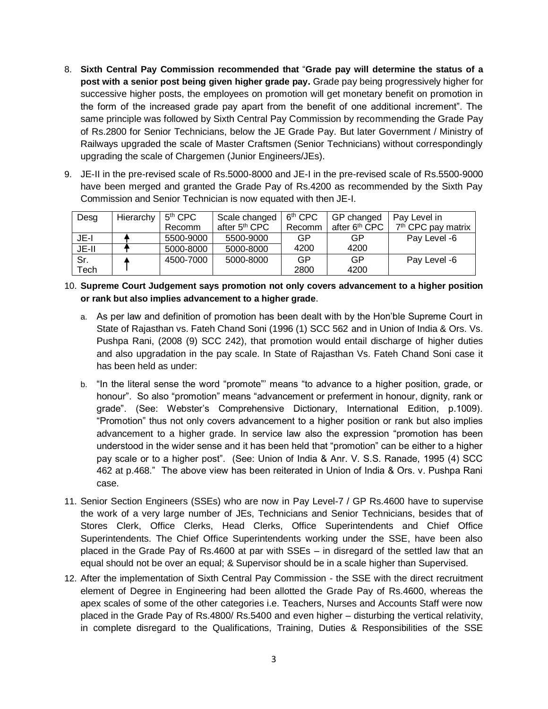- 8. **Sixth Central Pay Commission recommended that** "**Grade pay will determine the status of a post with a senior post being given higher grade pay.** Grade pay being progressively higher for successive higher posts, the employees on promotion will get monetary benefit on promotion in the form of the increased grade pay apart from the benefit of one additional increment". The same principle was followed by Sixth Central Pay Commission by recommending the Grade Pay of Rs.2800 for Senior Technicians, below the JE Grade Pay. But later Government / Ministry of Railways upgraded the scale of Master Craftsmen (Senior Technicians) without correspondingly upgrading the scale of Chargemen (Junior Engineers/JEs).
- 9. JE-II in the pre-revised scale of Rs.5000-8000 and JE-I in the pre-revised scale of Rs.5500-9000 have been merged and granted the Grade Pay of Rs.4200 as recommended by the Sixth Pay Commission and Senior Technician is now equated with then JE-I.

| Desg  | Hierarchy | 5 <sup>th</sup> CPC | Scale changed             | 6 <sup>th</sup> CPC | GP changed                | Pay Level in                   |
|-------|-----------|---------------------|---------------------------|---------------------|---------------------------|--------------------------------|
|       |           | Recomm              | after 5 <sup>th</sup> CPC | Recomm              | after 6 <sup>th</sup> CPC | 7 <sup>th</sup> CPC pay matrix |
| JE-I  |           | 5500-9000           | 5500-9000                 | GP                  | GP                        | Pay Level -6                   |
| JE-II |           | 5000-8000           | 5000-8000                 | 4200                | 4200                      |                                |
| Sr.   |           | 4500-7000           | 5000-8000                 | GP                  | GP                        | Pay Level -6                   |
| Tech  |           |                     |                           | 2800                | 4200                      |                                |

- 10. **Supreme Court Judgement says promotion not only covers advancement to a higher position or rank but also implies advancement to a higher grade**.
	- a. As per law and definition of promotion has been dealt with by the Hon'ble Supreme Court in State of Rajasthan vs. Fateh Chand Soni (1996 (1) SCC 562 and in Union of India & Ors. Vs. Pushpa Rani, (2008 (9) SCC 242), that promotion would entail discharge of higher duties and also upgradation in the pay scale. In State of Rajasthan Vs. Fateh Chand Soni case it has been held as under:
	- b. "In the literal sense the word "promote"' means "to advance to a higher position, grade, or honour". So also "promotion" means "advancement or preferment in honour, dignity, rank or grade". (See: Webster's Comprehensive Dictionary, International Edition, p.1009). "Promotion" thus not only covers advancement to a higher position or rank but also implies advancement to a higher grade. In service law also the expression "promotion has been understood in the wider sense and it has been held that "promotion" can be either to a higher pay scale or to a higher post". (See: Union of India & Anr. V. S.S. Ranade, 1995 (4) SCC 462 at p.468." The above view has been reiterated in Union of India & Ors. v. Pushpa Rani case.
- 11. Senior Section Engineers (SSEs) who are now in Pay Level-7 / GP Rs.4600 have to supervise the work of a very large number of JEs, Technicians and Senior Technicians, besides that of Stores Clerk, Office Clerks, Head Clerks, Office Superintendents and Chief Office Superintendents. The Chief Office Superintendents working under the SSE, have been also placed in the Grade Pay of Rs.4600 at par with SSEs – in disregard of the settled law that an equal should not be over an equal; & Supervisor should be in a scale higher than Supervised.
- 12. After the implementation of Sixth Central Pay Commission the SSE with the direct recruitment element of Degree in Engineering had been allotted the Grade Pay of Rs.4600, whereas the apex scales of some of the other categories i.e. Teachers, Nurses and Accounts Staff were now placed in the Grade Pay of Rs.4800/ Rs.5400 and even higher – disturbing the vertical relativity, in complete disregard to the Qualifications, Training, Duties & Responsibilities of the SSE